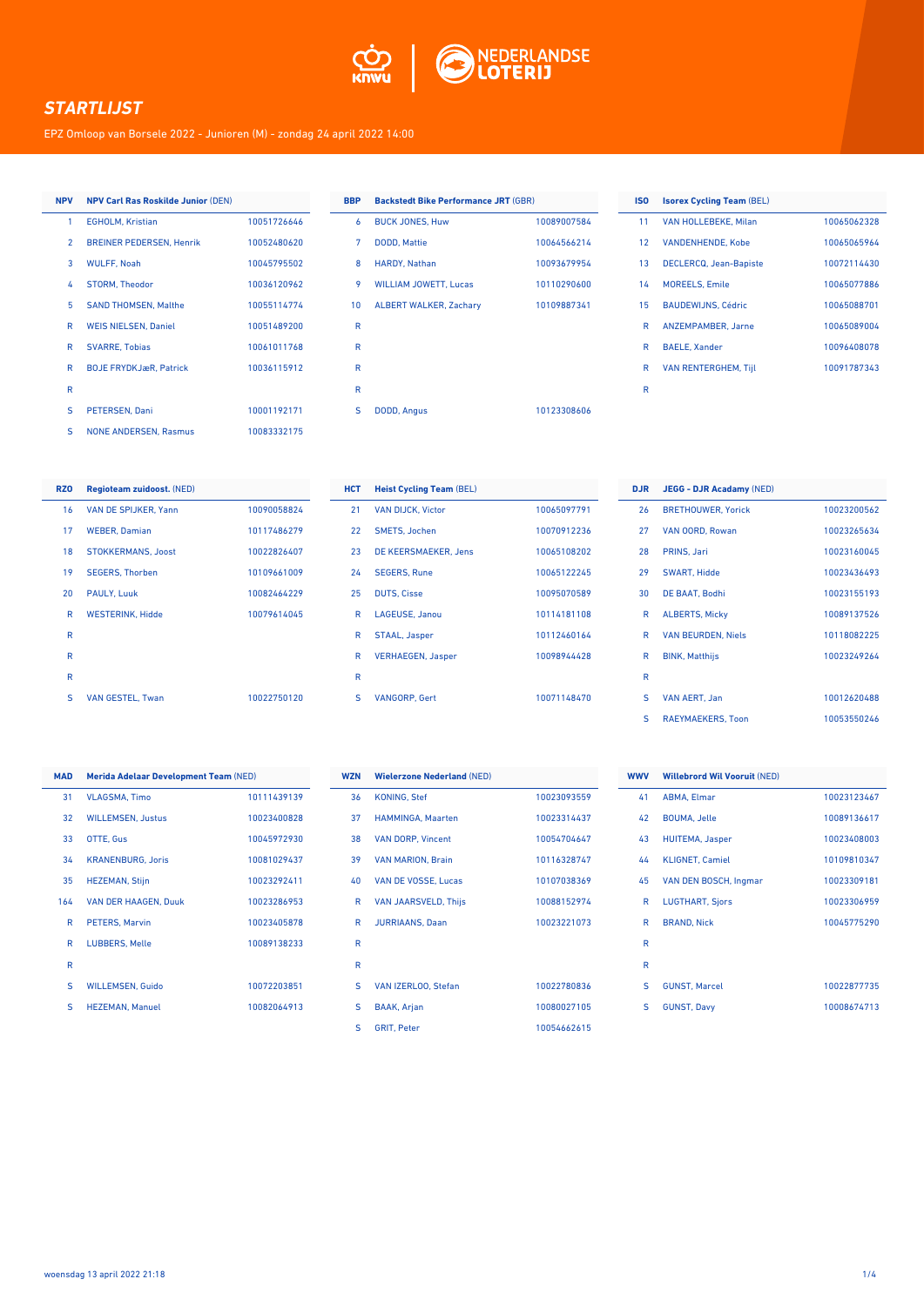

EPZ Omloop van Borsele 2022 - Junioren (M) - zondag 24 april 2022 14:00

#### **NPV NPV Carl Ras Roskilde Junior** (DEN)

| 1              | <b>EGHOLM.</b> Kristian         | 10051726646 |
|----------------|---------------------------------|-------------|
| $\overline{2}$ | <b>BREINER PEDERSEN, Henrik</b> | 10052480620 |
| 3              | <b>WULFF, Noah</b>              | 10045795502 |
| 4              | <b>STORM. Theodor</b>           | 10036120962 |
| 5              | <b>SAND THOMSEN, Malthe</b>     | 10055114774 |
| R              | <b>WEIS NIELSEN, Daniel</b>     | 10051489200 |
| R              | <b>SVARRE. Tobias</b>           | 10061011768 |
| R              | <b>BOJE FRYDKJæR, Patrick</b>   | 10036115912 |
| R              |                                 |             |
| S              | <b>PETERSEN, Dani</b>           | 10001192171 |
| S              | <b>NONE ANDERSEN, Rasmus</b>    | 10083332175 |

| <b>BBP</b>      | <b>Backstedt Bike Performance JRT (GBR)</b> |             |
|-----------------|---------------------------------------------|-------------|
| 6               | <b>BUCK JONES, Huw</b>                      | 10089007584 |
| 7               | <b>DODD, Mattie</b>                         | 10064566214 |
| 8               | <b>HARDY, Nathan</b>                        | 10093679954 |
| 9               | <b>WILLIAM JOWETT, Lucas</b>                | 10110290600 |
| 10 <sup>1</sup> | <b>ALBERT WALKER, Zachary</b>               | 10109887341 |
| R               |                                             |             |
| R               |                                             |             |
| R               |                                             |             |
| R               |                                             |             |
| S               | <b>DODD, Angus</b>                          | 10123308606 |
|                 |                                             |             |

#### **ISO Isorex Cycling Team** (BEL) 11 VAN HOLLEBEKE, Milan 10065062328 12 VANDENHENDE, Kobe 10065065964 13 DECLERCQ, Jean-Bapiste 10072114430 14 MOREELS, Emile 10065077886 15 BAUDEWIJNS, Cédric 10065088701 R ANZEMPAMBER, Jarne 10065089004 R BAELE, Xander 10096408078 R VAN RENTERGHEM, Tijl 10091787343

R

| <b>RZO</b>      | <b>Regioteam zuidoost. (NED)</b> |             | H |
|-----------------|----------------------------------|-------------|---|
| 16 <sup>1</sup> | VAN DE SPIJKER, Yann             | 10090058824 |   |
| 17              | <b>WEBER, Damian</b>             | 10117486279 |   |
| 18              | <b>STOKKERMANS, Joost</b>        | 10022826407 |   |
| 19              | <b>SEGERS, Thorben</b>           | 10109661009 |   |
| 20              | PAULY, Luuk                      | 10082464229 |   |
| R               | <b>WESTERINK, Hidde</b>          | 10079614045 |   |
| $\mathsf{R}$    |                                  |             |   |
| $\mathsf{R}$    |                                  |             |   |
| $\mathsf{R}$    |                                  |             |   |
| S               | <b>VAN GESTEL, Twan</b>          | 10022750120 |   |

| <b>HCT</b> | <b>Heist Cycling Team (BEL)</b> |             |
|------------|---------------------------------|-------------|
| 21         | <b>VAN DIJCK, Victor</b>        | 10065097791 |
| 22         | <b>SMETS, Jochen</b>            | 10070912236 |
| 23         | DE KEERSMAEKER, Jens            | 10065108202 |
| 24         | <b>SEGERS, Rune</b>             | 10065122245 |
| 25         | <b>DUTS, Cisse</b>              | 10095070589 |
| R          | <b>LAGEUSE, Janou</b>           | 10114181108 |
| R          | STAAL, Jasper                   | 10112460164 |
| R          | <b>VERHAEGEN, Jasper</b>        | 10098944428 |
| R          |                                 |             |
| S          | <b>VANGORP, Gert</b>            | 10071148470 |
|            |                                 |             |

| <b>DJR</b> | <b>JEGG - DJR Acadamy (NED)</b> |             |
|------------|---------------------------------|-------------|
| 26         | <b>BRETHOUWER, Yorick</b>       | 10023200562 |
| 27         | VAN OORD, Rowan                 | 10023265634 |
| 28         | PRINS, Jari                     | 10023160045 |
| 29         | <b>SWART, Hidde</b>             | 10023436493 |
| 30         | DE BAAT, Bodhi                  | 10023155193 |
| R          | <b>ALBERTS, Micky</b>           | 10089137526 |
| R          | <b>VAN BEURDEN, Niels</b>       | 10118082225 |
| R          | <b>BINK, Matthijs</b>           | 10023249264 |
| R          |                                 |             |
| S          | <b>VAN AERT, Jan</b>            | 10012620488 |
| S          | <b>RAEYMAEKERS, Toon</b>        | 10053550246 |

| <b>MAD</b> | <b>Merida Adelaar Development Team (NED)</b> |             |
|------------|----------------------------------------------|-------------|
| 31         | <b>VLAGSMA, Timo</b>                         | 10111439139 |
| 32         | <b>WILLEMSEN, Justus</b>                     | 10023400828 |
| 33         | OTTE, Gus                                    | 10045972930 |
| 34         | <b>KRANENBURG, Joris</b>                     | 10081029437 |
| 35         | <b>HEZEMAN, Stijn</b>                        | 10023292411 |
| 164        | <b>VAN DER HAAGEN, Duuk</b>                  | 10023286953 |
| R          | <b>PETERS, Marvin</b>                        | 10023405878 |
| R          | <b>LUBBERS, Melle</b>                        | 10089138233 |
| R          |                                              |             |
| S          | <b>WILLEMSEN, Guido</b>                      | 10072203851 |
| S          | <b>HEZEMAN, Manuel</b>                       | 10082064913 |

| <b>WZN</b> | <b>Wielerzone Nederland (NED)</b> |             | <b>WWV</b> | W  |
|------------|-----------------------------------|-------------|------------|----|
| 36         | <b>KONING, Stef</b>               | 10023093559 | 41         | A  |
| 37         | <b>HAMMINGA, Maarten</b>          | 10023314437 | 42         | B  |
| 38         | <b>VAN DORP, Vincent</b>          | 10054704647 | 43         | н  |
| 39         | <b>VAN MARION, Brain</b>          | 10116328747 | 44         | K  |
| 40         | VAN DE VOSSE, Lucas               | 10107038369 | 45         | V, |
| R          | <b>VAN JAARSVELD, Thijs</b>       | 10088152974 | R          | Ц  |
| R          | <b>JURRIAANS, Daan</b>            | 10023221073 | R          | B  |
| R          |                                   |             | R          |    |
| R          |                                   |             | R          |    |
| s          | VAN IZERLOO, Stefan               | 10022780836 | S          | G  |
| s          | <b>BAAK, Arjan</b>                | 10080027105 | S          | G  |
| S          | <b>GRIT, Peter</b>                | 10054662615 |            |    |

| <b>WWV</b>   | <b>Willebrord Wil Vooruit (NED)</b> |             |
|--------------|-------------------------------------|-------------|
| 41           | <b>ABMA, Elmar</b>                  | 10023123467 |
| 42           | <b>BOUMA, Jelle</b>                 | 10089136617 |
| 43           | <b>HUITEMA, Jasper</b>              | 10023408003 |
| 44           | <b>KLIGNET, Camiel</b>              | 10109810347 |
| 45           | VAN DEN BOSCH, Ingmar               | 10023309181 |
| R            | <b>LUGTHART, Sjors</b>              | 10023306959 |
| R            | <b>BRAND, Nick</b>                  | 10045775290 |
| R            |                                     |             |
| $\mathsf{R}$ |                                     |             |
| S            | <b>GUNST. Marcel</b>                | 10022877735 |
| S            | <b>GUNST, Davy</b>                  | 10008674713 |
|              |                                     |             |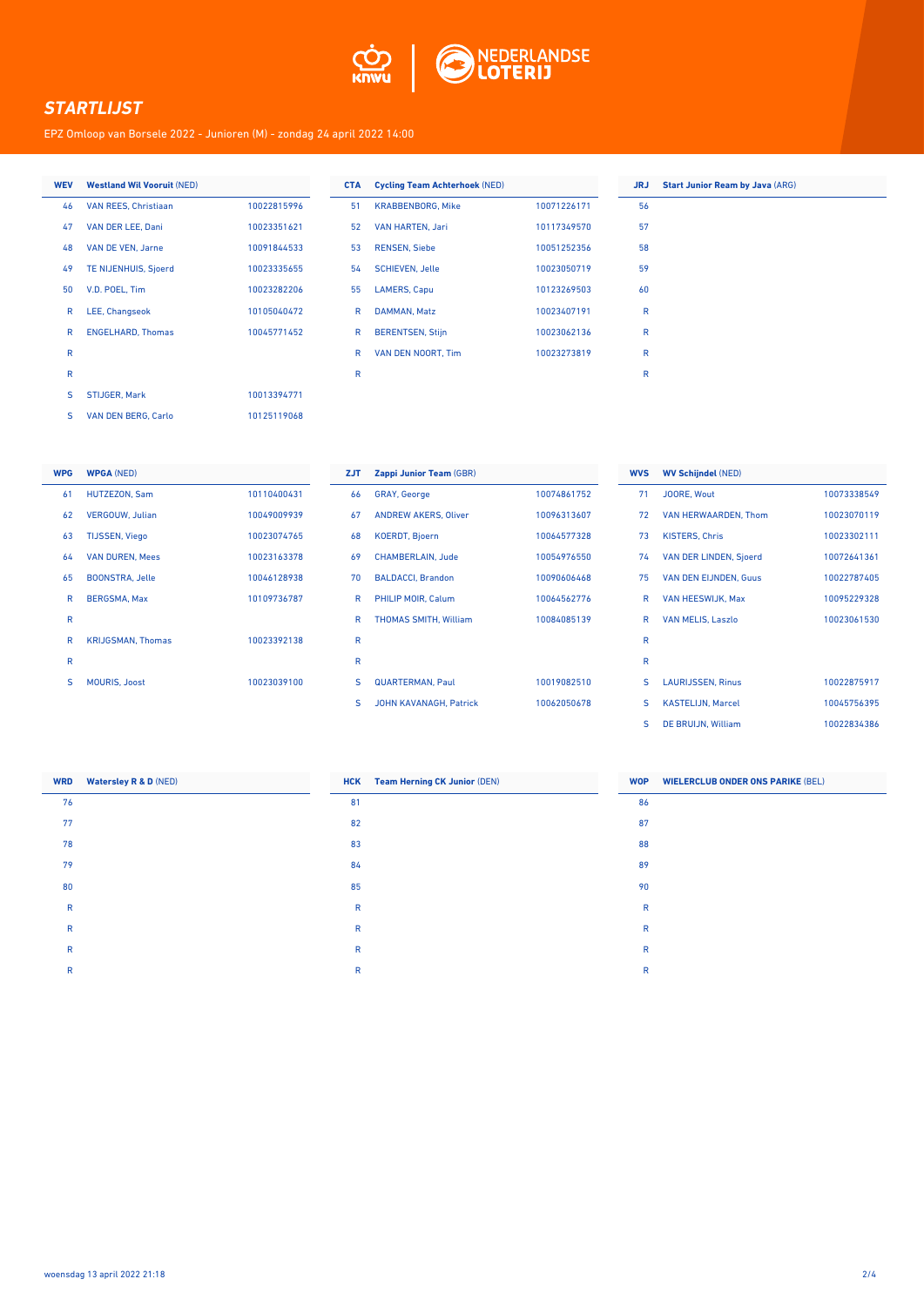

EPZ Omloop van Borsele 2022 - Junioren (M) - zondag 24 april 2022 14:00

| <b>WEV</b> | <b>Westland Wil Vooruit (NED)</b> |             |
|------------|-----------------------------------|-------------|
| 46         | VAN REES, Christiaan              | 10022815996 |
| 47         | VAN DER LEE, Dani                 | 10023351621 |
| 48         | VAN DE VEN, Jarne                 | 10091844533 |
| 49         | <b>TE NIJENHUIS, Sjoerd</b>       | 10023335655 |
| 50         | V.D. POEL, Tim                    | 10023282206 |
| R          | LEE, Changseok                    | 10105040472 |
| R          | <b>ENGELHARD, Thomas</b>          | 10045771452 |
| R          |                                   |             |
| R          |                                   |             |
| S          | <b>STIJGER, Mark</b>              | 10013394771 |
| S          | <b>VAN DEN BERG, Carlo</b>        | 10125119068 |

| <b>CTA</b> | <b>Cycling Team Achterhoek (NED)</b> |             | <b>JRJ</b> | <b>Start Junior Ream by Java (ARG)</b> |
|------------|--------------------------------------|-------------|------------|----------------------------------------|
| 51         | <b>KRABBENBORG, Mike</b>             | 10071226171 | 56         |                                        |
| 52         | VAN HARTEN, Jari                     | 10117349570 | 57         |                                        |
| 53         | <b>RENSEN, Siebe</b>                 | 10051252356 | 58         |                                        |
| 54         | <b>SCHIEVEN, Jelle</b>               | 10023050719 | 59         |                                        |
| 55         | <b>LAMERS, Capu</b>                  | 10123269503 | 60         |                                        |
| R          | DAMMAN, Matz                         | 10023407191 | R          |                                        |
| R          | <b>BERENTSEN, Stijn</b>              | 10023062136 | R          |                                        |
| R          | VAN DEN NOORT. Tim                   | 10023273819 | R          |                                        |
| R          |                                      |             | R          |                                        |

| <b>WPG</b> | <b>WPGA (NED)</b>        |             |
|------------|--------------------------|-------------|
| 61         | <b>HUTZEZON, Sam</b>     | 10110400431 |
| 62         | <b>VERGOUW. Julian</b>   | 10049009939 |
| 63         | <b>TIJSSEN, Viego</b>    | 10023074765 |
| 64         | <b>VAN DUREN, Mees</b>   | 10023163378 |
| 65         | <b>BOONSTRA, Jelle</b>   | 10046128938 |
| R          | <b>BERGSMA, Max</b>      | 10109736787 |
| R          |                          |             |
| R          | <b>KRIJGSMAN, Thomas</b> | 10023392138 |
| R          |                          |             |
| S          | <b>MOURIS, Joost</b>     | 10023039100 |

| <b>ZJT</b> | Zappi Junior Team (GBR)       |             |
|------------|-------------------------------|-------------|
| 66         | <b>GRAY, George</b>           | 10074861752 |
| 67         | <b>ANDREW AKERS, Oliver</b>   | 10096313607 |
| 68         | <b>KOERDT, Bjoern</b>         | 10064577328 |
| 69         | <b>CHAMBERLAIN, Jude</b>      | 10054976550 |
| 70         | <b>BALDACCI, Brandon</b>      | 10090606468 |
| R          | PHILIP MOIR, Calum            | 10064562776 |
| R          | <b>THOMAS SMITH, William</b>  | 10084085139 |
| R          |                               |             |
| R          |                               |             |
| s          | <b>QUARTERMAN, Paul</b>       | 10019082510 |
| s          | <b>JOHN KAVANAGH, Patrick</b> | 10062050678 |

| <b>WV Schijndel (NED)</b>     |             |  |  |
|-------------------------------|-------------|--|--|
| <b>JOORE, Wout</b>            | 10073338549 |  |  |
| VAN HERWAARDEN, Thom          | 10023070119 |  |  |
| <b>KISTERS, Chris</b>         | 10023302111 |  |  |
| <b>VAN DER LINDEN, Sjoerd</b> | 10072641361 |  |  |
| <b>VAN DEN EIJNDEN, Guus</b>  | 10022787405 |  |  |
| <b>VAN HEESWIJK, Max</b>      | 10095229328 |  |  |
| <b>VAN MELIS, Laszlo</b>      | 10023061530 |  |  |
|                               |             |  |  |
|                               |             |  |  |
| <b>LAURIJSSEN, Rinus</b>      | 10022875917 |  |  |
| <b>KASTELIJN. Marcel</b>      | 10045756395 |  |  |
| DE BRUIJN, William            | 10022834386 |  |  |
|                               |             |  |  |

| <b>WRD</b>   | <b>Watersley R &amp; D (NED)</b> |              | <b>HCK</b> Team Herning CK Junior (DEN) | <b>WOP</b>   | <b>WIELERCLUB ONDER ONS PARIKE (BEL)</b> |
|--------------|----------------------------------|--------------|-----------------------------------------|--------------|------------------------------------------|
| 76           |                                  | 81           |                                         | 86           |                                          |
| 77           |                                  | 82           |                                         | 87           |                                          |
| 78           |                                  | 83           |                                         | 88           |                                          |
| 79           |                                  | 84           |                                         | 89           |                                          |
| 80           |                                  | 85           |                                         | 90           |                                          |
| $\mathsf{R}$ |                                  | $\mathsf{R}$ |                                         | $\mathsf{R}$ |                                          |
| R            |                                  | R            |                                         | R            |                                          |
| $\mathsf{R}$ |                                  | $\mathsf{R}$ |                                         | $\mathsf{R}$ |                                          |
| R            |                                  | R            |                                         | R            |                                          |
|              |                                  |              |                                         |              |                                          |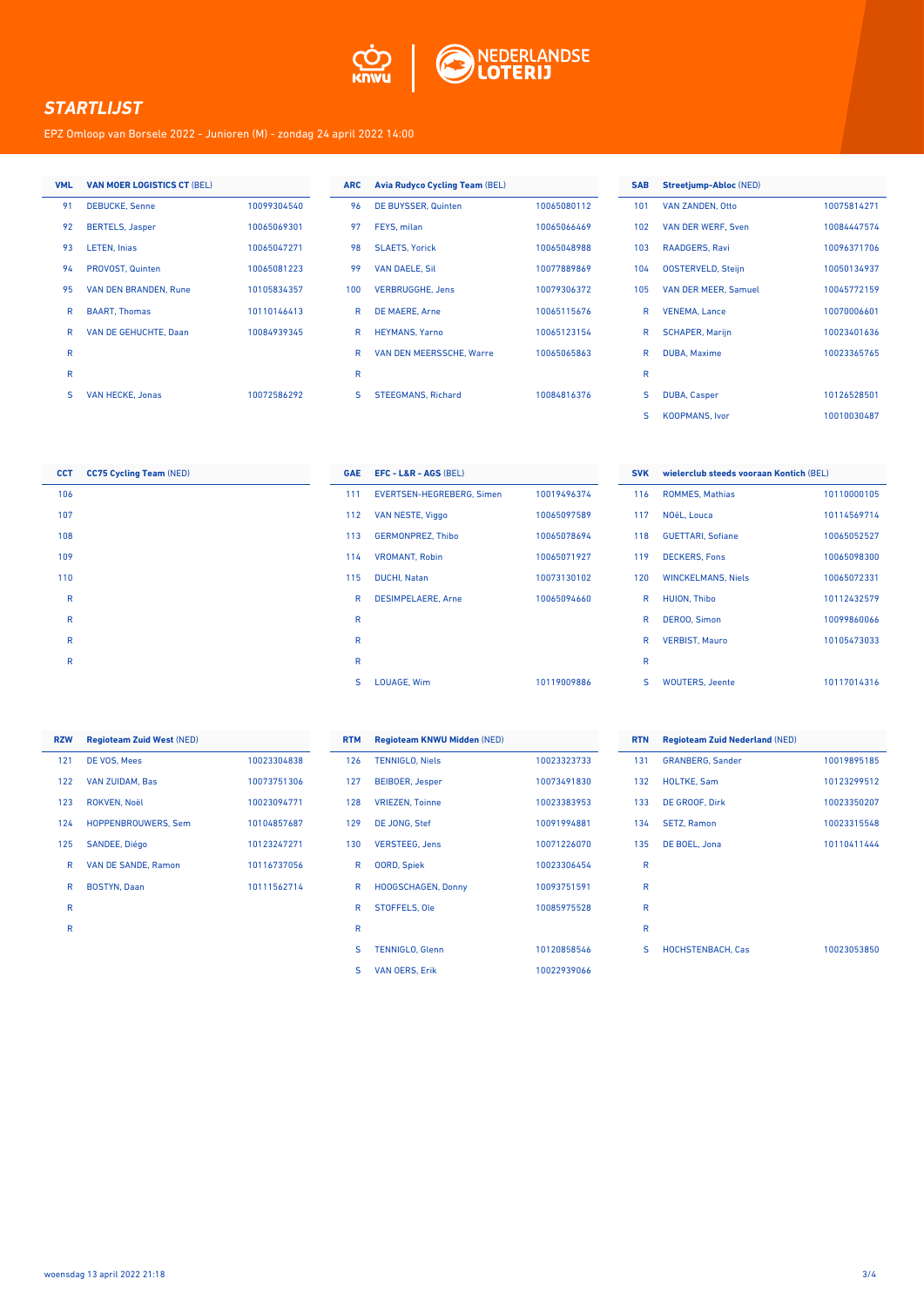

EPZ Omloop van Borsele 2022 - Junioren (M) - zondag 24 april 2022 14:00

| <b>VML</b>   | <b>VAN MOER LOGISTICS CT (BEL)</b> |             | <b>ARC</b> | <b>Avia Rudyco Cycling Team (BEL)</b> |             | <b>SAB</b>   | Streetjump-Abloc (NED)    |             |
|--------------|------------------------------------|-------------|------------|---------------------------------------|-------------|--------------|---------------------------|-------------|
| 91           | <b>DEBUCKE, Senne</b>              | 10099304540 | 96         | DE BUYSSER, Quinten                   | 10065080112 | 101          | <b>VAN ZANDEN, Otto</b>   | 10075814271 |
| 92           | <b>BERTELS, Jasper</b>             | 10065069301 | 97         | FEYS, milan                           | 10065066469 | 102          | VAN DER WERF, Sven        | 10084447574 |
| 93           | <b>LETEN, Injas</b>                | 10065047271 | 98         | <b>SLAETS, Yorick</b>                 | 10065048988 | 103          | <b>RAADGERS, Ravi</b>     | 10096371706 |
| 94           | PROVOST, Quinten                   | 10065081223 | 99         | <b>VAN DAELE, Sil</b>                 | 10077889869 | 104          | <b>OOSTERVELD, Steijn</b> | 10050134937 |
| 95           | <b>VAN DEN BRANDEN, Rune</b>       | 10105834357 | 100        | <b>VERBRUGGHE, Jens</b>               | 10079306372 | 105          | VAN DER MEER, Samuel      | 10045772159 |
| R            | <b>BAART. Thomas</b>               | 10110146413 | R          | <b>DE MAERE, Arne</b>                 | 10065115676 | R            | <b>VENEMA, Lance</b>      | 10070006601 |
| R            | <b>VAN DE GEHUCHTE, Daan</b>       | 10084939345 | R          | <b>HEYMANS, Yarno</b>                 | 10065123154 | $\mathsf{R}$ | <b>SCHAPER, Marijn</b>    | 10023401636 |
| $\mathsf{R}$ |                                    |             | R          | <b>VAN DEN MEERSSCHE, Warre</b>       | 10065065863 | R            | <b>DUBA, Maxime</b>       | 10023365765 |
| $\mathsf{R}$ |                                    |             | R          |                                       |             | R            |                           |             |
| s            | <b>VAN HECKE, Jonas</b>            | 10072586292 | s          | <b>STEEGMANS, Richard</b>             | 10084816376 | S            | <b>DUBA, Casper</b>       | 10126528501 |

| <b>CCT</b>  | <b>CC75 Cycling Team (NED)</b> |
|-------------|--------------------------------|
| 106         |                                |
| 107         |                                |
| 108         |                                |
| 109         |                                |
| 110         |                                |
| R           |                                |
| $\mathsf R$ |                                |
| R           |                                |
| R           |                                |

| <b>GAE</b> | $EFC - L&R - AGS (BEL)$   |             |
|------------|---------------------------|-------------|
| 111        | EVERTSEN-HEGREBERG, Simen | 10019496374 |
| 112        | <b>VAN NESTE, Viggo</b>   | 10065097589 |
| 113        | <b>GERMONPREZ. Thibo</b>  | 10065078694 |
| 114        | <b>VROMANT, Robin</b>     | 10065071927 |
| 115        | <b>DUCHI, Natan</b>       | 10073130102 |
| R          | <b>DESIMPELAERE, Arne</b> | 10065094660 |
| R          |                           |             |
| R          |                           |             |
| R          |                           |             |
| s          | <b>LOUAGE. Wim</b>        | 10119009886 |

| <b>SVK</b> | wielerclub steeds vooraan Kontich (BEL) |             |  |  |  |
|------------|-----------------------------------------|-------------|--|--|--|
| 116        | <b>ROMMES, Mathias</b>                  | 10110000105 |  |  |  |
| 117        | NOëL. Louca                             | 10114569714 |  |  |  |
| 118        | <b>GUETTARI, Sofiane</b>                | 10065052527 |  |  |  |
| 119        | <b>DECKERS, Fons</b>                    | 10065098300 |  |  |  |
| 120        | <b>WINCKELMANS, Niels</b>               | 10065072331 |  |  |  |
| R          | <b>HUION. Thibo</b>                     | 10112432579 |  |  |  |
| R          | <b>DEROO, Simon</b>                     | 10099860066 |  |  |  |
| R          | <b>VERBIST, Mauro</b>                   | 10105473033 |  |  |  |
| R          |                                         |             |  |  |  |
| S          | <b>WOUTERS. Jeente</b>                  | 10117014316 |  |  |  |

S KOOPMANS, Ivor 10010030487

| <b>RZW</b> | <b>Regioteam Zuid West (NED)</b> |             |
|------------|----------------------------------|-------------|
| 121        | DE VOS, Mees                     | 10023304838 |
| 122        | <b>VAN ZUIDAM, Bas</b>           | 10073751306 |
| 123        | <b>ROKVEN, Noël</b>              | 10023094771 |
| 124        | <b>HOPPENBROUWERS, Sem</b>       | 10104857687 |
| 125        | <b>SANDEE, Diégo</b>             | 10123247271 |
| R          | <b>VAN DE SANDE, Ramon</b>       | 10116737056 |
| R          | <b>BOSTYN, Daan</b>              | 10111562714 |
| R          |                                  |             |
| R          |                                  |             |

| <b>RTM</b> | <b>Regioteam KNWU Midden (NED)</b> |             |
|------------|------------------------------------|-------------|
| 126        | <b>TENNIGLO, Niels</b>             | 10023323733 |
| 127        | <b>BEIBOER, Jesper</b>             | 10073491830 |
| 128        | <b>VRIEZEN, Toinne</b>             | 10023383953 |
| 129        | <b>DE JONG, Stef</b>               | 10091994881 |
| 130        | <b>VERSTEEG, Jens</b>              | 10071226070 |
| R          | <b>OORD, Spiek</b>                 | 10023306454 |
| R          | <b>HOOGSCHAGEN, Donny</b>          | 10093751591 |
| R          | <b>STOFFELS, Ole</b>               | 10085975528 |
| R          |                                    |             |
| S          | <b>TENNIGLO, Glenn</b>             | 10120858546 |
| S          | <b>VAN OERS, Erik</b>              | 10022939066 |

| <b>RTN</b> | <b>Regioteam Zuid Nederland (NED)</b> |             |
|------------|---------------------------------------|-------------|
| 131        | <b>GRANBERG, Sander</b>               | 10019895185 |
| 132        | <b>HOLTKE, Sam</b>                    | 10123299512 |
| 133        | DE GROOF, Dirk                        | 10023350207 |
| 134        | <b>SETZ, Ramon</b>                    | 10023315548 |
| 135        | DE BOEL, Jona                         | 10110411444 |
| R          |                                       |             |
| R          |                                       |             |
| R          |                                       |             |
| R          |                                       |             |
| S          | <b>HOCHSTENBACH, Cas</b>              | 10023053850 |
|            |                                       |             |